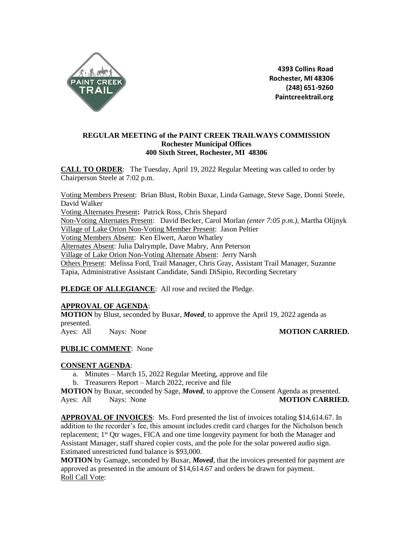

4393 Collins Road Rochester, MI 48306 (248) 651-9260 Paintcreektrail.org

# **REGULAR MEETING of the PAINT CREEK TRAILWAYS COMMISSION Rochester Municipal Offices 400 Sixth Street, Rochester, MI 48306**

**CALL TO ORDER**: The Tuesday, April 19, 2022 Regular Meeting was called to order by Chairperson Steele at 7:02 p.m.

Voting Members Present: Brian Blust, Robin Buxar, Linda Gamage, Steve Sage, Donni Steele, David Walker Voting Alternates Present**:** Patrick Ross, Chris Shepard Non-Voting Alternates Present: David Becker, Carol Morlan *(enter 7:05 p.m.)*, Martha Olijnyk Village of Lake Orion Non-Voting Member Present: Jason Peltier Voting Members Absent: Ken Elwert, Aaron Whatley Alternates Absent: Julia Dalrymple, Dave Mabry, Ann Peterson Village of Lake Orion Non-Voting Alternate Absent: Jerry Narsh Others Present: Melissa Ford, Trail Manager, Chris Gray, Assistant Trail Manager, Suzanne Tapia, Administrative Assistant Candidate, Sandi DiSipio, Recording Secretary

PLEDGE OF ALLEGIANCE: All rose and recited the Pledge.

# **APPROVAL OF AGENDA**:

**MOTION** by Blust, seconded by Buxar, *Moved*, to approve the April 19, 2022 agenda as presented. Ayes: All Nays: None **MOTION CARRIED.**

# **PUBLIC COMMENT**: None

# **CONSENT AGENDA**:

- a. Minutes March 15, 2022 Regular Meeting, approve and file
- b. Treasurers Report March 2022, receive and file

**MOTION** by Buxar, seconded by Sage, *Moved*, to approve the Consent Agenda as presented. Ayes: All Nays: None **MOTION CARRIED.**

**APPROVAL OF INVOICES**: Ms. Ford presented the list of invoices totaling \$14,614.67. In addition to the recorder's fee, this amount includes credit card charges for the Nicholson bench replacement;  $1<sup>st</sup>$  Otr wages, FICA and one time longevity payment for both the Manager and Assistant Manager, staff shared copier costs, and the pole for the solar powered audio sign. Estimated unrestricted fund balance is \$93,000.

**MOTION** by Gamage, seconded by Buxar, *Moved*, that the invoices presented for payment are approved as presented in the amount of \$14,614.67 and orders be drawn for payment. Roll Call Vote: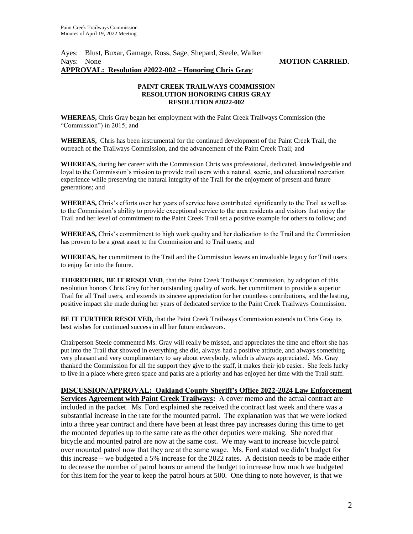Ayes: Blust, Buxar, Gamage, Ross, Sage, Shepard, Steele, Walker Nays: None **MOTION CARRIED. APPROVAL: Resolution #2022-002 – Honoring Chris Gray**:

### **PAINT CREEK TRAILWAYS COMMISSION RESOLUTION HONORING CHRIS GRAY RESOLUTION #2022-002**

**WHEREAS,** Chris Gray began her employment with the Paint Creek Trailways Commission (the "Commission") in 2015; and

**WHEREAS,** Chris has been instrumental for the continued development of the Paint Creek Trail, the outreach of the Trailways Commission, and the advancement of the Paint Creek Trail; and

**WHEREAS,** during her career with the Commission Chris was professional, dedicated, knowledgeable and loyal to the Commission's mission to provide trail users with a natural, scenic, and educational recreation experience while preserving the natural integrity of the Trail for the enjoyment of present and future generations; and

**WHEREAS,** Chris's efforts over her years of service have contributed significantly to the Trail as well as to the Commission's ability to provide exceptional service to the area residents and visitors that enjoy the Trail and her level of commitment to the Paint Creek Trail set a positive example for others to follow; and

**WHEREAS,** Chris's commitment to high work quality and her dedication to the Trail and the Commission has proven to be a great asset to the Commission and to Trail users; and

**WHEREAS,** her commitment to the Trail and the Commission leaves an invaluable legacy for Trail users to enjoy far into the future.

**THEREFORE, BE IT RESOLVED**, that the Paint Creek Trailways Commission, by adoption of this resolution honors Chris Gray for her outstanding quality of work, her commitment to provide a superior Trail for all Trail users, and extends its sincere appreciation for her countless contributions, and the lasting, positive impact she made during her years of dedicated service to the Paint Creek Trailways Commission.

**BE IT FURTHER RESOLVED,** that the Paint Creek Trailways Commission extends to Chris Gray its best wishes for continued success in all her future endeavors.

Chairperson Steele commented Ms. Gray will really be missed, and appreciates the time and effort she has put into the Trail that showed in everything she did, always had a positive attitude, and always something very pleasant and very complimentary to say about everybody, which is always appreciated. Ms. Gray thanked the Commission for all the support they give to the staff, it makes their job easier. She feels lucky to live in a place where green space and parks are a priority and has enjoyed her time with the Trail staff.

**DISCUSSION/APPROVAL: Oakland County Sheriff's Office 2022-2024 Law Enforcement Services Agreement with Paint Creek Trailways:** A cover memo and the actual contract are included in the packet. Ms. Ford explained she received the contract last week and there was a substantial increase in the rate for the mounted patrol. The explanation was that we were locked into a three year contract and there have been at least three pay increases during this time to get the mounted deputies up to the same rate as the other deputies were making. She noted that bicycle and mounted patrol are now at the same cost. We may want to increase bicycle patrol over mounted patrol now that they are at the same wage. Ms. Ford stated we didn't budget for this increase – we budgeted a 5% increase for the 2022 rates. A decision needs to be made either to decrease the number of patrol hours or amend the budget to increase how much we budgeted for this item for the year to keep the patrol hours at 500. One thing to note however, is that we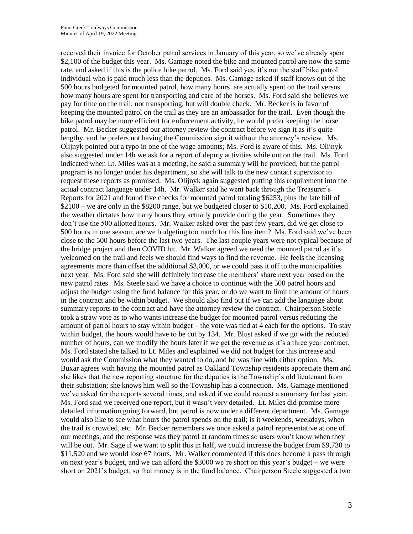received their invoice for October patrol services in January of this year, so we've already spent \$2,100 of the budget this year. Ms. Gamage noted the bike and mounted patrol are now the same rate, and asked if this is the police bike patrol. Ms. Ford said yes, it's not the staff bike patrol individual who is paid much less than the deputies. Ms. Gamage asked if staff knows out of the 500 hours budgeted for mounted patrol, how many hours are actually spent on the trail versus how many hours are spent for transporting and care of the horses. Ms. Ford said she believes we pay for time on the trail, not transporting, but will double check. Mr. Becker is in favor of keeping the mounted patrol on the trail as they are an ambassador for the trail. Even though the bike patrol may be more efficient for enforcement activity, he would prefer keeping the horse patrol. Mr. Becker suggested our attorney review the contract before we sign it as it's quite lengthy, and he prefers not having the Commission sign it without the attorney's review. Ms. Olijnyk pointed out a typo in one of the wage amounts; Ms. Ford is aware of this. Ms. Olijnyk also suggested under 14h we ask for a report of deputy activities while out on the trail. Ms. Ford indicated when Lt. Miles was at a meeting, he said a summary will be provided, but the patrol program is no longer under his department, so she will talk to the new contact supervisor to request these reports as promised. Ms. Olijnyk again suggested putting this requirement into the actual contract language under 14h. Mr. Walker said he went back through the Treasurer's Reports for 2021 and found five checks for mounted patrol totaling \$6253, plus the late bill of \$2100 – we are only in the \$8200 range, but we budgeted closer to \$10,200. Ms. Ford explained the weather dictates how many hours they actually provide during the year. Sometimes they don't use the 500 allotted hours. Mr. Walker asked over the past few years, did we get close to 500 hours in one season; are we budgeting too much for this line item? Ms. Ford said we've been close to the 500 hours before the last two years. The last couple years were not typical because of the bridge project and then COVID hit. Mr. Walker agreed we need the mounted patrol as it's welcomed on the trail and feels we should find ways to find the revenue. He feels the licensing agreements more than offset the additional \$3,000, or we could pass it off to the municipalities next year. Ms. Ford said she will definitely increase the members' share next year based on the new patrol rates. Ms. Steele said we have a choice to continue with the 500 patrol hours and adjust the budget using the fund balance for this year, or do we want to limit the amount of hours in the contract and be within budget. We should also find out if we can add the language about summary reports to the contract and have the attorney review the contract. Chairperson Steele took a straw vote as to who wants increase the budget for mounted patrol versus reducing the amount of patrol hours to stay within budget – the vote was tied at 4 each for the options. To stay within budget, the hours would have to be cut by 134. Mr. Blust asked if we go with the reduced number of hours, can we modify the hours later if we get the revenue as it's a three year contract. Ms. Ford stated she talked to Lt. Miles and explained we did not budget for this increase and would ask the Commission what they wanted to do, and he was fine with either option. Ms. Buxar agrees with having the mounted patrol as Oakland Township residents appreciate them and she likes that the new reporting structure for the deputies is the Township's old lieutenant from their substation; she knows him well so the Township has a connection. Ms. Gamage mentioned we've asked for the reports several times, and asked if we could request a summary for last year. Ms. Ford said we received one report, but it wasn't very detailed. Lt. Miles did promise more detailed information going forward, but patrol is now under a different department. Ms. Gamage would also like to see what hours the patrol spends on the trail; is it weekends, weekdays, when the trail is crowded, etc. Mr. Becker remembers we once asked a patrol representative at one of our meetings, and the response was they patrol at random times so users won't know when they will be out. Mr. Sage if we want to split this in half, we could increase the budget from \$9,730 to \$11,520 and we would lose 67 hours. Mr. Walker commented if this does become a pass through on next year's budget, and we can afford the \$3000 we're short on this year's budget – we were short on 2021's budget, so that money is in the fund balance. Chairperson Steele suggested a two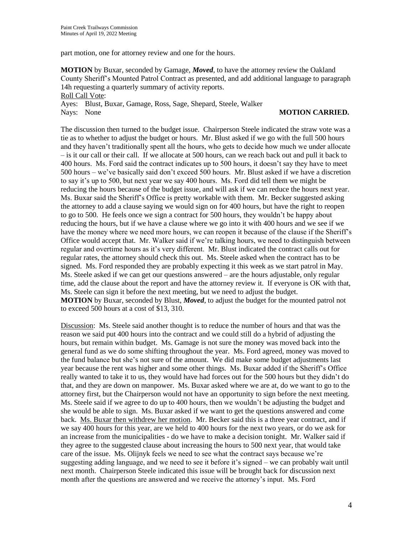part motion, one for attorney review and one for the hours.

**MOTION** by Buxar, seconded by Gamage, *Moved*, to have the attorney review the Oakland County Sheriff's Mounted Patrol Contract as presented, and add additional language to paragraph 14h requesting a quarterly summary of activity reports. Roll Call Vote:

Ayes: Blust, Buxar, Gamage, Ross, Sage, Shepard, Steele, Walker Nays: None **MOTION CARRIED.**

The discussion then turned to the budget issue. Chairperson Steele indicated the straw vote was a tie as to whether to adjust the budget or hours. Mr. Blust asked if we go with the full 500 hours and they haven't traditionally spent all the hours, who gets to decide how much we under allocate – is it our call or their call. If we allocate at 500 hours, can we reach back out and pull it back to 400 hours. Ms. Ford said the contract indicates up to 500 hours, it doesn't say they have to meet 500 hours – we've basically said don't exceed 500 hours. Mr. Blust asked if we have a discretion to say it's up to 500, but next year we say 400 hours. Ms. Ford did tell them we might be reducing the hours because of the budget issue, and will ask if we can reduce the hours next year. Ms. Buxar said the Sheriff's Office is pretty workable with them. Mr. Becker suggested asking the attorney to add a clause saying we would sign on for 400 hours, but have the right to reopen to go to 500. He feels once we sign a contract for 500 hours, they wouldn't be happy about reducing the hours, but if we have a clause where we go into it with 400 hours and we see if we have the money where we need more hours, we can reopen it because of the clause if the Sheriff's Office would accept that. Mr. Walker said if we're talking hours, we need to distinguish between regular and overtime hours as it's very different. Mr. Blust indicated the contract calls out for regular rates, the attorney should check this out. Ms. Steele asked when the contract has to be signed. Ms. Ford responded they are probably expecting it this week as we start patrol in May. Ms. Steele asked if we can get our questions answered – are the hours adjustable, only regular time, add the clause about the report and have the attorney review it. If everyone is OK with that, Ms. Steele can sign it before the next meeting, but we need to adjust the budget. **MOTION** by Buxar, seconded by Blust, *Moved*, to adjust the budget for the mounted patrol not to exceed 500 hours at a cost of \$13, 310.

Discussion: Ms. Steele said another thought is to reduce the number of hours and that was the reason we said put 400 hours into the contract and we could still do a hybrid of adjusting the hours, but remain within budget. Ms. Gamage is not sure the money was moved back into the general fund as we do some shifting throughout the year. Ms. Ford agreed, money was moved to the fund balance but she's not sure of the amount. We did make some budget adjustments last year because the rent was higher and some other things. Ms. Buxar added if the Sheriff's Office really wanted to take it to us, they would have had forces out for the 500 hours but they didn't do that, and they are down on manpower. Ms. Buxar asked where we are at, do we want to go to the attorney first, but the Chairperson would not have an opportunity to sign before the next meeting. Ms. Steele said if we agree to do up to 400 hours, then we wouldn't be adjusting the budget and she would be able to sign. Ms. Buxar asked if we want to get the questions answered and come back. Ms. Buxar then withdrew her motion. Mr. Becker said this is a three year contract, and if we say 400 hours for this year, are we held to 400 hours for the next two years, or do we ask for an increase from the municipalities - do we have to make a decision tonight. Mr. Walker said if they agree to the suggested clause about increasing the hours to 500 next year, that would take care of the issue. Ms. Olijnyk feels we need to see what the contract says because we're suggesting adding language, and we need to see it before it's signed – we can probably wait until next month. Chairperson Steele indicated this issue will be brought back for discussion next month after the questions are answered and we receive the attorney's input. Ms. Ford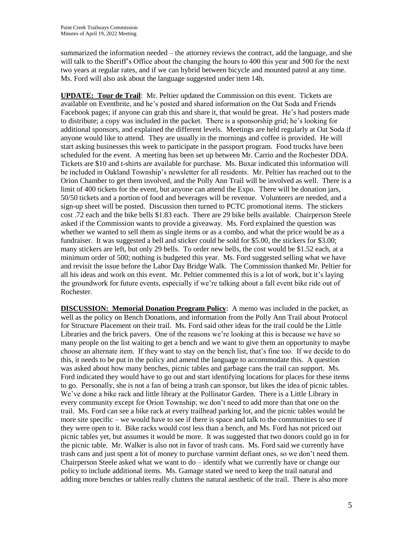summarized the information needed – the attorney reviews the contract, add the language, and she will talk to the Sheriff's Office about the changing the hours to 400 this year and 500 for the next two years at regular rates, and if we can hybrid between bicycle and mounted patrol at any time. Ms. Ford will also ask about the language suggested under item 14h.

**UPDATE: Tour de Trail**: Mr. Peltier updated the Commission on this event. Tickets are available on Eventbrite, and he's posted and shared information on the Oat Soda and Friends Facebook pages; if anyone can grab this and share it, that would be great. He's had posters made to distribute; a copy was included in the packet. There is a sponsorship grid; he's looking for additional sponsors, and explained the different levels. Meetings are held regularly at Oat Soda if anyone would like to attend. They are usually in the mornings and coffee is provided. He will start asking businesses this week to participate in the passport program. Food trucks have been scheduled for the event. A meeting has been set up between Mr. Carrio and the Rochester DDA. Tickets are \$10 and t-shirts are available for purchase. Ms. Buxar indicated this information will be included in Oakland Township's newsletter for all residents. Mr. Peltier has reached out to the Orion Chamber to get them involved, and the Polly Ann Trail will be involved as well. There is a limit of 400 tickets for the event, but anyone can attend the Expo. There will be donation jars, 50/50 tickets and a portion of food and beverages will be revenue. Volunteers are needed, and a sign-up sheet will be posted. Discussion then turned to PCTC promotional items. The stickers cost .72 each and the bike bells \$1.83 each. There are 29 bike bells available. Chairperson Steele asked if the Commission wants to provide a giveaway. Ms. Ford explained the question was whether we wanted to sell them as single items or as a combo, and what the price would be as a fundraiser. It was suggested a bell and sticker could be sold for \$5.00, the stickers for \$3.00; many stickers are left, but only 29 bells. To order new bells, the cost would be \$1.52 each, at a minimum order of 500; nothing is budgeted this year. Ms. Ford suggested selling what we have and revisit the issue before the Labor Day Bridge Walk. The Commission thanked Mr. Peltier for all his ideas and work on this event. Mr. Peltier commented this is a lot of work, but it's laying the groundwork for future events, especially if we're talking about a fall event bike ride out of Rochester.

**DISCUSSION: Memorial Donation Program Policy**: A memo was included in the packet, as well as the policy on Bench Donations, and information from the Polly Ann Trail about Protocol for Structure Placement on their trail. Ms. Ford said other ideas for the trail could be the Little Libraries and the brick pavers. One of the reasons we're looking at this is because we have so many people on the list waiting to get a bench and we want to give them an opportunity to maybe choose an alternate item. If they want to stay on the bench list, that's fine too. If we decide to do this, it needs to be put in the policy and amend the language to accommodate this. A question was asked about how many benches, picnic tables and garbage cans the trail can support. Ms. Ford indicated they would have to go out and start identifying locations for places for these items to go. Personally, she is not a fan of being a trash can sponsor, but likes the idea of picnic tables. We've done a bike rack and little library at the Pollinator Garden. There is a Little Library in every community except for Orion Township; we don't need to add more than that one on the trail. Ms. Ford can see a bike rack at every trailhead parking lot, and the picnic tables would be more site specific – we would have to see if there is space and talk to the communities to see if they were open to it. Bike racks would cost less than a bench, and Ms. Ford has not priced out picnic tables yet, but assumes it would be more. It was suggested that two donors could go in for the picnic table. Mr. Walker is also not in favor of trash cans. Ms. Ford said we currently have trash cans and just spent a lot of money to purchase varmint defiant ones, so we don't need them. Chairperson Steele asked what we want to do – identify what we currently have or change our policy to include additional items. Ms. Gamage stated we need to keep the trail natural and adding more benches or tables really clutters the natural aesthetic of the trail. There is also more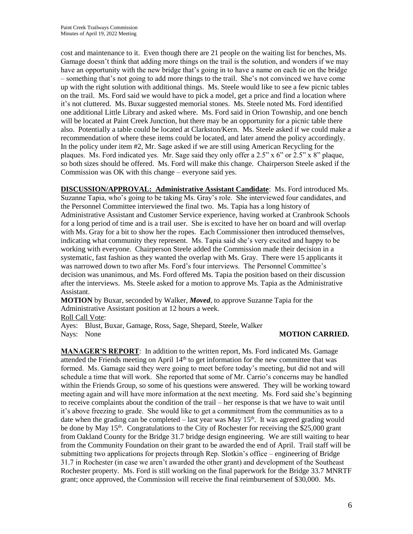cost and maintenance to it. Even though there are 21 people on the waiting list for benches, Ms. Gamage doesn't think that adding more things on the trail is the solution, and wonders if we may have an opportunity with the new bridge that's going in to have a name on each tie on the bridge – something that's not going to add more things to the trail. She's not convinced we have come up with the right solution with additional things. Ms. Steele would like to see a few picnic tables on the trail. Ms. Ford said we would have to pick a model, get a price and find a location where it's not cluttered. Ms. Buxar suggested memorial stones. Ms. Steele noted Ms. Ford identified one additional Little Library and asked where. Ms. Ford said in Orion Township, and one bench will be located at Paint Creek Junction, but there may be an opportunity for a picnic table there also. Potentially a table could be located at Clarkston/Kern. Ms. Steele asked if we could make a recommendation of where these items could be located, and later amend the policy accordingly. In the policy under item #2, Mr. Sage asked if we are still using American Recycling for the plaques. Ms. Ford indicated yes. Mr. Sage said they only offer a 2.5" x 6" or 2.5" x 8" plaque, so both sizes should be offered. Ms. Ford will make this change. Chairperson Steele asked if the Commission was OK with this change – everyone said yes.

**DISCUSSION/APPROVAL: Administrative Assistant Candidate**: Ms. Ford introduced Ms. Suzanne Tapia, who's going to be taking Ms. Gray's role. She interviewed four candidates, and the Personnel Committee interviewed the final two. Ms. Tapia has a long history of Administrative Assistant and Customer Service experience, having worked at Cranbrook Schools for a long period of time and is a trail user. She is excited to have her on board and will overlap with Ms. Gray for a bit to show her the ropes. Each Commissioner then introduced themselves, indicating what community they represent. Ms. Tapia said she's very excited and happy to be working with everyone. Chairperson Steele added the Commission made their decision in a systematic, fast fashion as they wanted the overlap with Ms. Gray. There were 15 applicants it was narrowed down to two after Ms. Ford's four interviews. The Personnel Committee's decision was unanimous, and Ms. Ford offered Ms. Tapia the position based on their discussion after the interviews. Ms. Steele asked for a motion to approve Ms. Tapia as the Administrative Assistant.

**MOTION** by Buxar, seconded by Walker, *Moved*, to approve Suzanne Tapia for the Administrative Assistant position at 12 hours a week.

Roll Call Vote:

Ayes: Blust, Buxar, Gamage, Ross, Sage, Shepard, Steele, Walker Nays: None **MOTION CARRIED.** 

**MANAGER'S REPORT**: In addition to the written report, Ms. Ford indicated Ms. Gamage attended the Friends meeting on April  $14<sup>th</sup>$  to get information for the new committee that was formed. Ms. Gamage said they were going to meet before today's meeting, but did not and will schedule a time that will work. She reported that some of Mr. Carrio's concerns may be handled within the Friends Group, so some of his questions were answered. They will be working toward meeting again and will have more information at the next meeting. Ms. Ford said she's beginning to receive complaints about the condition of the trail – her response is that we have to wait until it's above freezing to grade. She would like to get a commitment from the communities as to a date when the grading can be completed – last year was May  $15<sup>th</sup>$ . It was agreed grading would be done by May  $15<sup>th</sup>$ . Congratulations to the City of Rochester for receiving the \$25,000 grant from Oakland County for the Bridge 31.7 bridge design engineering. We are still waiting to hear from the Community Foundation on their grant to be awarded the end of April. Trail staff will be submitting two applications for projects through Rep. Slotkin's office – engineering of Bridge 31.7 in Rochester (in case we aren't awarded the other grant) and development of the Southeast Rochester property. Ms. Ford is still working on the final paperwork for the Bridge 33.7 MNRTF grant; once approved, the Commission will receive the final reimbursement of \$30,000. Ms.